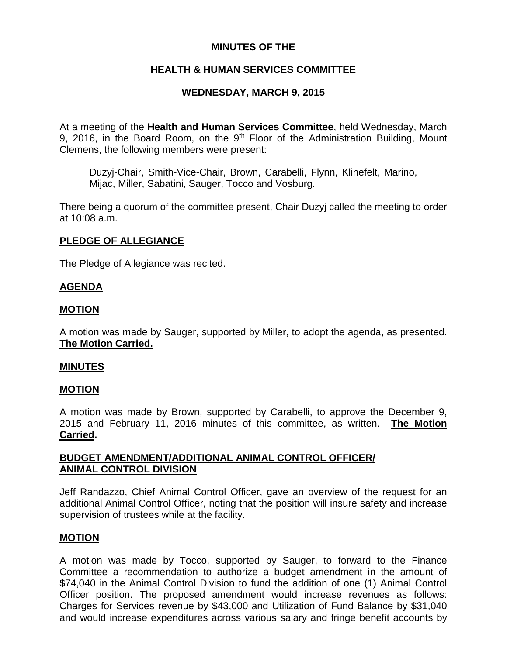# **MINUTES OF THE**

# **HEALTH & HUMAN SERVICES COMMITTEE**

# **WEDNESDAY, MARCH 9, 2015**

At a meeting of the **Health and Human Services Committee**, held Wednesday, March 9, 2016, in the Board Room, on the  $9<sup>th</sup>$  Floor of the Administration Building, Mount Clemens, the following members were present:

Duzyj-Chair, Smith-Vice-Chair, Brown, Carabelli, Flynn, Klinefelt, Marino, Mijac, Miller, Sabatini, Sauger, Tocco and Vosburg.

There being a quorum of the committee present, Chair Duzyj called the meeting to order at 10:08 a.m.

# **PLEDGE OF ALLEGIANCE**

The Pledge of Allegiance was recited.

### **AGENDA**

### **MOTION**

A motion was made by Sauger, supported by Miller, to adopt the agenda, as presented. **The Motion Carried.**

### **MINUTES**

### **MOTION**

A motion was made by Brown, supported by Carabelli, to approve the December 9, 2015 and February 11, 2016 minutes of this committee, as written. **The Motion Carried.**

### **BUDGET AMENDMENT/ADDITIONAL ANIMAL CONTROL OFFICER/ ANIMAL CONTROL DIVISION**

Jeff Randazzo, Chief Animal Control Officer, gave an overview of the request for an additional Animal Control Officer, noting that the position will insure safety and increase supervision of trustees while at the facility.

### **MOTION**

A motion was made by Tocco, supported by Sauger, to forward to the Finance Committee a recommendation to authorize a budget amendment in the amount of \$74,040 in the Animal Control Division to fund the addition of one (1) Animal Control Officer position. The proposed amendment would increase revenues as follows: Charges for Services revenue by \$43,000 and Utilization of Fund Balance by \$31,040 and would increase expenditures across various salary and fringe benefit accounts by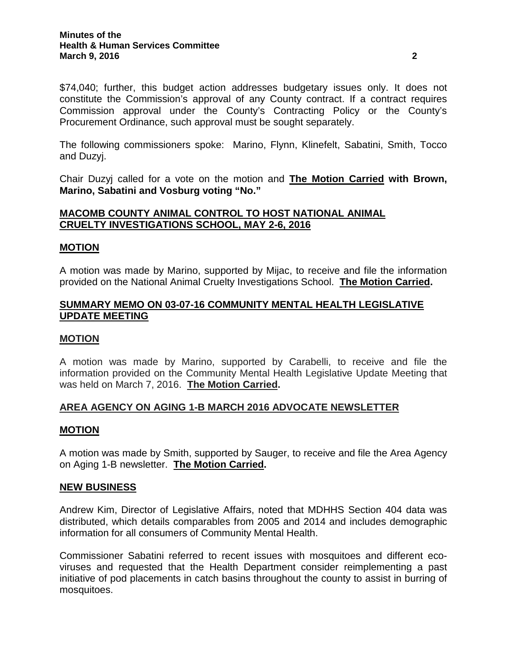\$74,040; further, this budget action addresses budgetary issues only. It does not constitute the Commission's approval of any County contract. If a contract requires Commission approval under the County's Contracting Policy or the County's Procurement Ordinance, such approval must be sought separately.

The following commissioners spoke: Marino, Flynn, Klinefelt, Sabatini, Smith, Tocco and Duzyj.

Chair Duzyj called for a vote on the motion and **The Motion Carried with Brown, Marino, Sabatini and Vosburg voting "No."**

# **MACOMB COUNTY ANIMAL CONTROL TO HOST NATIONAL ANIMAL CRUELTY INVESTIGATIONS SCHOOL, MAY 2-6, 2016**

### **MOTION**

A motion was made by Marino, supported by Mijac, to receive and file the information provided on the National Animal Cruelty Investigations School. **The Motion Carried.**

### **SUMMARY MEMO ON 03-07-16 COMMUNITY MENTAL HEALTH LEGISLATIVE UPDATE MEETING**

### **MOTION**

A motion was made by Marino, supported by Carabelli, to receive and file the information provided on the Community Mental Health Legislative Update Meeting that was held on March 7, 2016. **The Motion Carried.**

# **AREA AGENCY ON AGING 1-B MARCH 2016 ADVOCATE NEWSLETTER**

### **MOTION**

A motion was made by Smith, supported by Sauger, to receive and file the Area Agency on Aging 1-B newsletter. **The Motion Carried.**

### **NEW BUSINESS**

Andrew Kim, Director of Legislative Affairs, noted that MDHHS Section 404 data was distributed, which details comparables from 2005 and 2014 and includes demographic information for all consumers of Community Mental Health.

Commissioner Sabatini referred to recent issues with mosquitoes and different ecoviruses and requested that the Health Department consider reimplementing a past initiative of pod placements in catch basins throughout the county to assist in burring of mosquitoes.